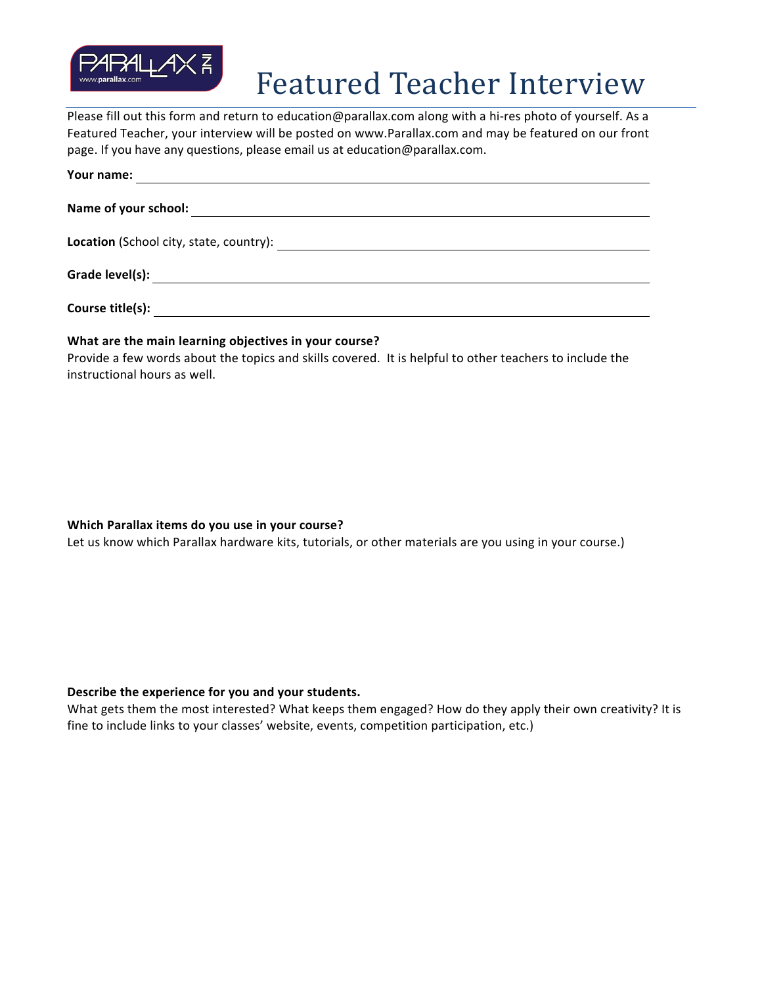

# Featured Teacher Interview

Please fill out this form and return to education@parallax.com along with a hi-res photo of yourself. As a Featured Teacher, your interview will be posted on www.Parallax.com and may be featured on our front page. If you have any questions, please email us at education@parallax.com.

| Your name:                                              |
|---------------------------------------------------------|
|                                                         |
|                                                         |
| Grade level(s):                                         |
| Course title(s):                                        |
| Athet are the meth learning able three in using country |

#### What are the main learning objectives in your course?

Provide a few words about the topics and skills covered. It is helpful to other teachers to include the instructional hours as well.

## **Which Parallax items do you use in your course?**

Let us know which Parallax hardware kits, tutorials, or other materials are you using in your course.)

## Describe the experience for you and your students.

What gets them the most interested? What keeps them engaged? How do they apply their own creativity? It is fine to include links to your classes' website, events, competition participation, etc.)